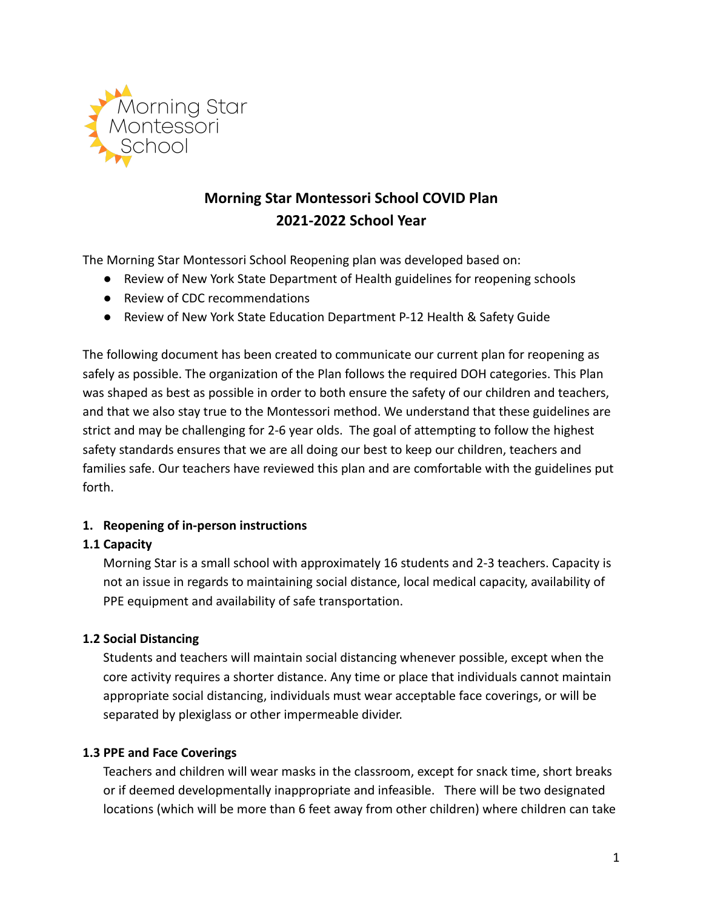

# **Morning Star Montessori School COVID Plan 2021-2022 School Year**

The Morning Star Montessori School Reopening plan was developed based on:

- Review of New York State Department of Health guidelines for reopening schools
- Review of CDC recommendations
- Review of New York State Education Department P-12 Health & Safety Guide

The following document has been created to communicate our current plan for reopening as safely as possible. The organization of the Plan follows the required DOH categories. This Plan was shaped as best as possible in order to both ensure the safety of our children and teachers, and that we also stay true to the Montessori method. We understand that these guidelines are strict and may be challenging for 2-6 year olds. The goal of attempting to follow the highest safety standards ensures that we are all doing our best to keep our children, teachers and families safe. Our teachers have reviewed this plan and are comfortable with the guidelines put forth.

# **1. Reopening of in-person instructions**

# **1.1 Capacity**

Morning Star is a small school with approximately 16 students and 2-3 teachers. Capacity is not an issue in regards to maintaining social distance, local medical capacity, availability of PPE equipment and availability of safe transportation.

# **1.2 Social Distancing**

Students and teachers will maintain social distancing whenever possible, except when the core activity requires a shorter distance. Any time or place that individuals cannot maintain appropriate social distancing, individuals must wear acceptable face coverings, or will be separated by plexiglass or other impermeable divider.

# **1.3 PPE and Face Coverings**

Teachers and children will wear masks in the classroom, except for snack time, short breaks or if deemed developmentally inappropriate and infeasible. There will be two designated locations (which will be more than 6 feet away from other children) where children can take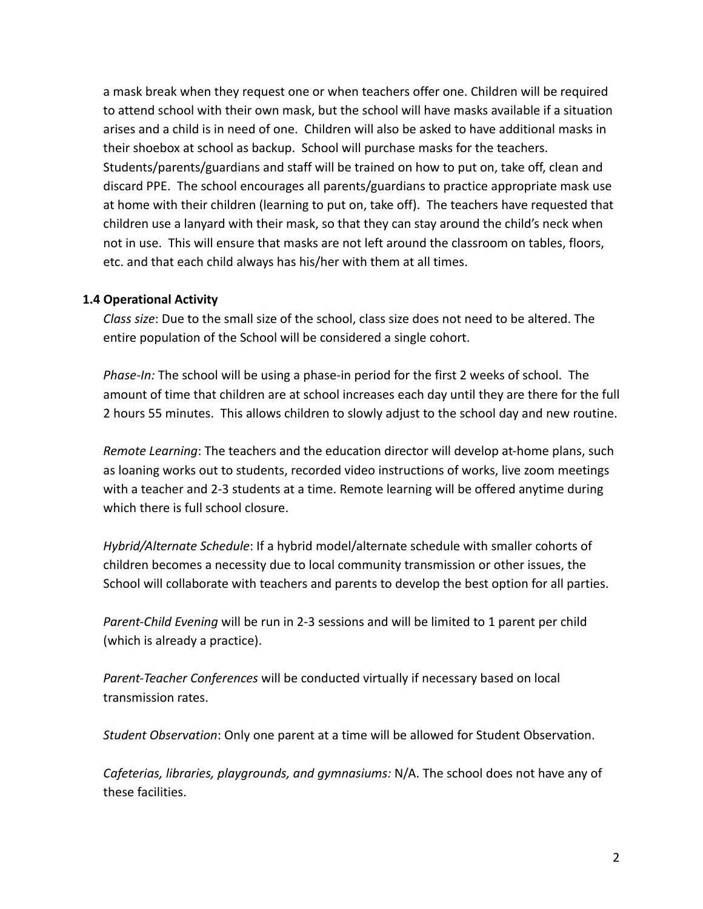a mask break when they request one or when teachers offer one. Children will be required to attend school with their own mask, but the school will have masks available if a situation arises and a child is in need of one. Children will also be asked to have additional masks in their shoebox at school as backup. School will purchase masks for the teachers. Students/parents/guardians and staff will be trained on how to put on, take off, clean and discard PPE. The school encourages all parents/guardians to practice appropriate mask use at home with their children (learning to put on, take off). The teachers have requested that children use a lanyard with their mask, so that they can stay around the child's neck when not in use. This will ensure that masks are not left around the classroom on tables, floors, etc. and that each child always has his/her with them at all times.

#### **1.4 Operational Activity**

*Class size*: Due to the small size of the school, class size does not need to be altered. The entire population of the School will be considered a single cohort.

*Phase-In:* The school will be using a phase-in period for the first 2 weeks of school. The amount of time that children are at school increases each day until they are there for the full 2 hours 55 minutes. This allows children to slowly adjust to the school day and new routine.

*Remote Learning*: The teachers and the education director will develop at-home plans, such as loaning works out to students, recorded video instructions of works, live zoom meetings with a teacher and 2-3 students at a time. Remote learning will be offered anytime during which there is full school closure.

*Hybrid/Alternate Schedule*: If a hybrid model/alternate schedule with smaller cohorts of children becomes a necessity due to local community transmission or other issues, the School will collaborate with teachers and parents to develop the best option for all parties.

*Parent-Child Evening* will be run in 2-3 sessions and will be limited to 1 parent per child (which is already a practice).

*Parent-Teacher Conferences* will be conducted virtually if necessary based on local transmission rates.

*Student Observation*: Only one parent at a time will be allowed for Student Observation.

*Cafeterias, libraries, playgrounds, and gymnasiums:* N/A. The school does not have any of these facilities.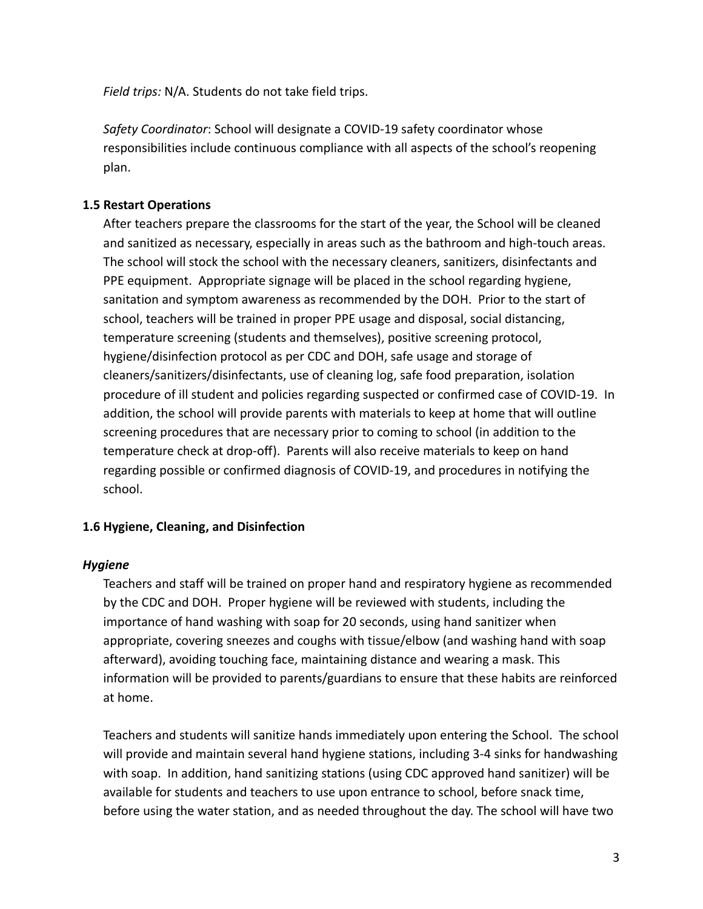*Field trips:* N/A. Students do not take field trips.

*Safety Coordinator*: School will designate a COVID-19 safety coordinator whose responsibilities include continuous compliance with all aspects of the school's reopening plan.

# **1.5 Restart Operations**

After teachers prepare the classrooms for the start of the year, the School will be cleaned and sanitized as necessary, especially in areas such as the bathroom and high-touch areas. The school will stock the school with the necessary cleaners, sanitizers, disinfectants and PPE equipment. Appropriate signage will be placed in the school regarding hygiene, sanitation and symptom awareness as recommended by the DOH. Prior to the start of school, teachers will be trained in proper PPE usage and disposal, social distancing, temperature screening (students and themselves), positive screening protocol, hygiene/disinfection protocol as per CDC and DOH, safe usage and storage of cleaners/sanitizers/disinfectants, use of cleaning log, safe food preparation, isolation procedure of ill student and policies regarding suspected or confirmed case of COVID-19. In addition, the school will provide parents with materials to keep at home that will outline screening procedures that are necessary prior to coming to school (in addition to the temperature check at drop-off). Parents will also receive materials to keep on hand regarding possible or confirmed diagnosis of COVID-19, and procedures in notifying the school.

# **1.6 Hygiene, Cleaning, and Disinfection**

# *Hygiene*

Teachers and staff will be trained on proper hand and respiratory hygiene as recommended by the CDC and DOH. Proper hygiene will be reviewed with students, including the importance of hand washing with soap for 20 seconds, using hand sanitizer when appropriate, covering sneezes and coughs with tissue/elbow (and washing hand with soap afterward), avoiding touching face, maintaining distance and wearing a mask. This information will be provided to parents/guardians to ensure that these habits are reinforced at home.

Teachers and students will sanitize hands immediately upon entering the School. The school will provide and maintain several hand hygiene stations, including 3-4 sinks for handwashing with soap. In addition, hand sanitizing stations (using CDC approved hand sanitizer) will be available for students and teachers to use upon entrance to school, before snack time, before using the water station, and as needed throughout the day. The school will have two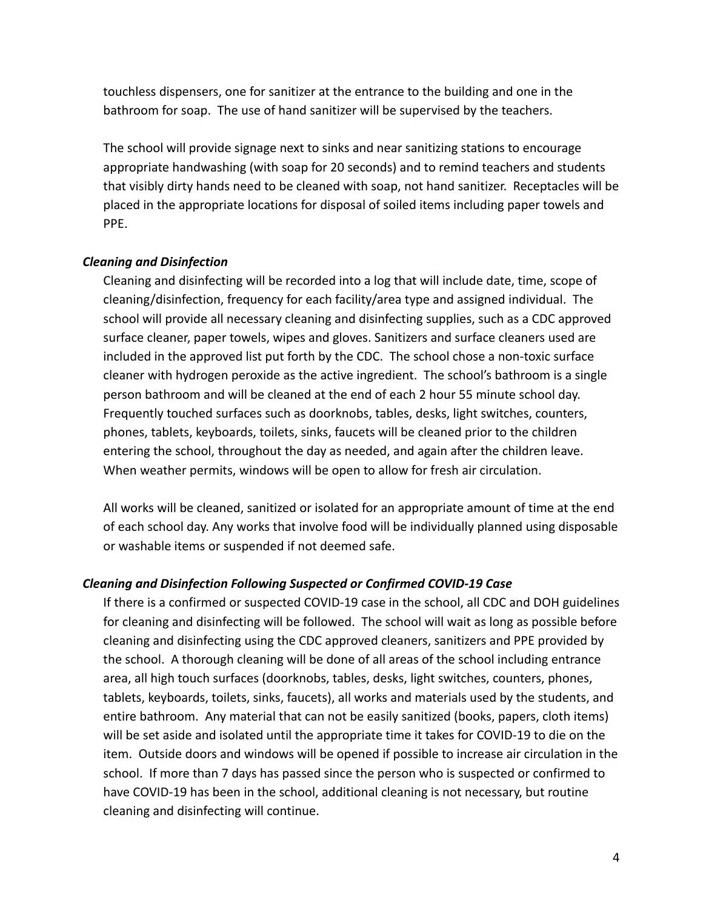touchless dispensers, one for sanitizer at the entrance to the building and one in the bathroom for soap. The use of hand sanitizer will be supervised by the teachers.

The school will provide signage next to sinks and near sanitizing stations to encourage appropriate handwashing (with soap for 20 seconds) and to remind teachers and students that visibly dirty hands need to be cleaned with soap, not hand sanitizer. Receptacles will be placed in the appropriate locations for disposal of soiled items including paper towels and PPE.

# *Cleaning and Disinfection*

Cleaning and disinfecting will be recorded into a log that will include date, time, scope of cleaning/disinfection, frequency for each facility/area type and assigned individual. The school will provide all necessary cleaning and disinfecting supplies, such as a CDC approved surface cleaner, paper towels, wipes and gloves. Sanitizers and surface cleaners used are included in the approved list put forth by the CDC. The school chose a non-toxic surface cleaner with hydrogen peroxide as the active ingredient. The school's bathroom is a single person bathroom and will be cleaned at the end of each 2 hour 55 minute school day. Frequently touched surfaces such as doorknobs, tables, desks, light switches, counters, phones, tablets, keyboards, toilets, sinks, faucets will be cleaned prior to the children entering the school, throughout the day as needed, and again after the children leave. When weather permits, windows will be open to allow for fresh air circulation.

All works will be cleaned, sanitized or isolated for an appropriate amount of time at the end of each school day. Any works that involve food will be individually planned using disposable or washable items or suspended if not deemed safe.

# *Cleaning and Disinfection Following Suspected or Confirmed COVID-19 Case*

If there is a confirmed or suspected COVID-19 case in the school, all CDC and DOH guidelines for cleaning and disinfecting will be followed. The school will wait as long as possible before cleaning and disinfecting using the CDC approved cleaners, sanitizers and PPE provided by the school. A thorough cleaning will be done of all areas of the school including entrance area, all high touch surfaces (doorknobs, tables, desks, light switches, counters, phones, tablets, keyboards, toilets, sinks, faucets), all works and materials used by the students, and entire bathroom. Any material that can not be easily sanitized (books, papers, cloth items) will be set aside and isolated until the appropriate time it takes for COVID-19 to die on the item. Outside doors and windows will be opened if possible to increase air circulation in the school. If more than 7 days has passed since the person who is suspected or confirmed to have COVID-19 has been in the school, additional cleaning is not necessary, but routine cleaning and disinfecting will continue.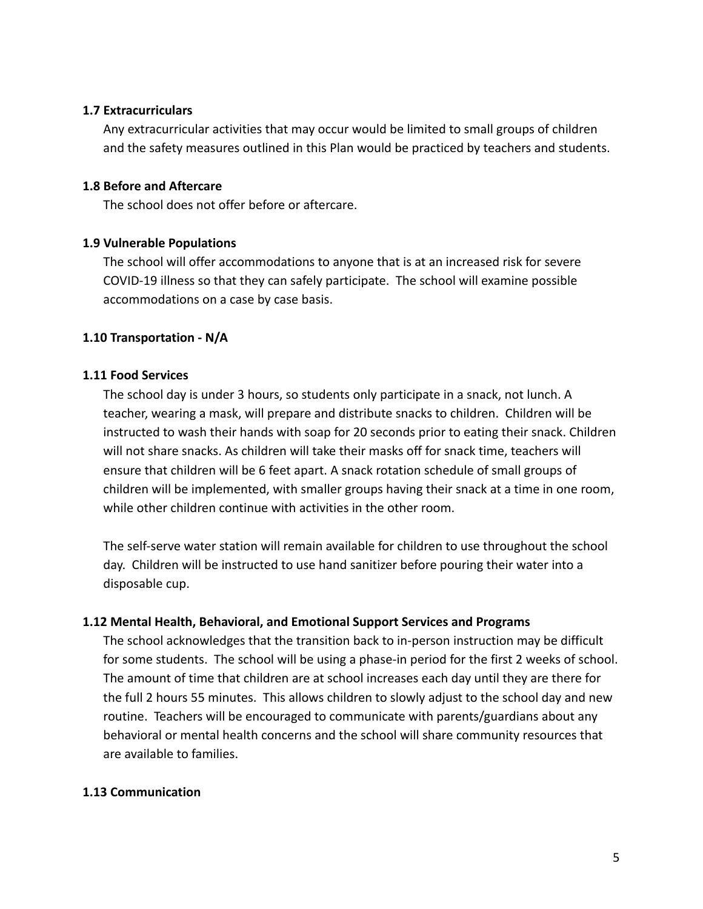#### **1.7 Extracurriculars**

Any extracurricular activities that may occur would be limited to small groups of children and the safety measures outlined in this Plan would be practiced by teachers and students.

### **1.8 Before and Aftercare**

The school does not offer before or aftercare.

#### **1.9 Vulnerable Populations**

The school will offer accommodations to anyone that is at an increased risk for severe COVID-19 illness so that they can safely participate. The school will examine possible accommodations on a case by case basis.

#### **1.10 Transportation - N/A**

#### **1.11 Food Services**

The school day is under 3 hours, so students only participate in a snack, not lunch. A teacher, wearing a mask, will prepare and distribute snacks to children. Children will be instructed to wash their hands with soap for 20 seconds prior to eating their snack. Children will not share snacks. As children will take their masks off for snack time, teachers will ensure that children will be 6 feet apart. A snack rotation schedule of small groups of children will be implemented, with smaller groups having their snack at a time in one room, while other children continue with activities in the other room.

The self-serve water station will remain available for children to use throughout the school day. Children will be instructed to use hand sanitizer before pouring their water into a disposable cup.

#### **1.12 Mental Health, Behavioral, and Emotional Support Services and Programs**

The school acknowledges that the transition back to in-person instruction may be difficult for some students. The school will be using a phase-in period for the first 2 weeks of school. The amount of time that children are at school increases each day until they are there for the full 2 hours 55 minutes. This allows children to slowly adjust to the school day and new routine. Teachers will be encouraged to communicate with parents/guardians about any behavioral or mental health concerns and the school will share community resources that are available to families.

#### **1.13 Communication**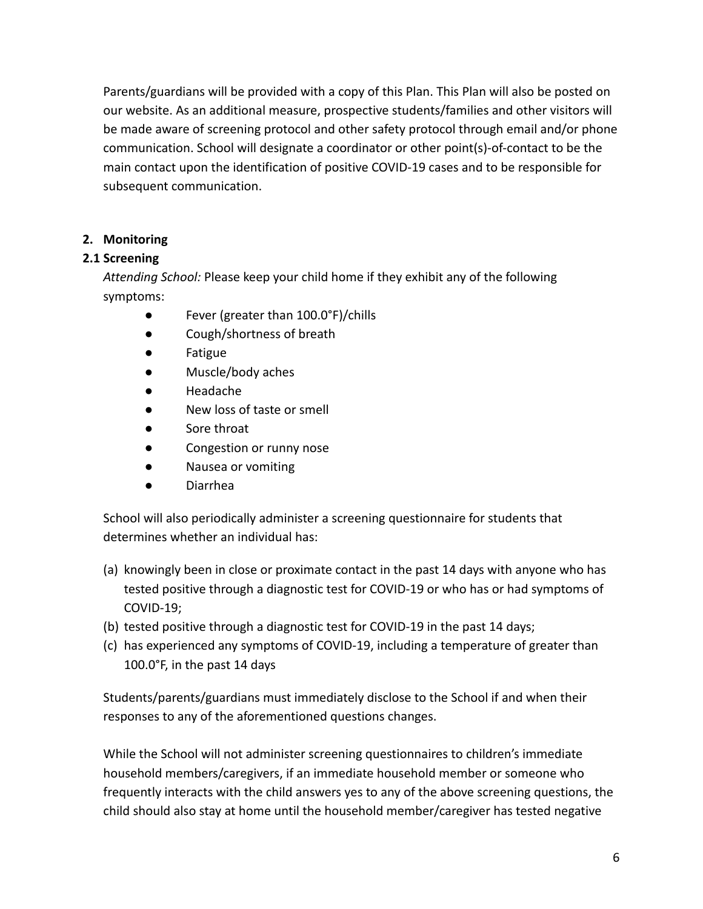Parents/guardians will be provided with a copy of this Plan. This Plan will also be posted on our website. As an additional measure, prospective students/families and other visitors will be made aware of screening protocol and other safety protocol through email and/or phone communication. School will designate a coordinator or other point(s)-of-contact to be the main contact upon the identification of positive COVID-19 cases and to be responsible for subsequent communication.

# **2. Monitoring**

# **2.1 Screening**

*Attending School:* Please keep your child home if they exhibit any of the following symptoms:

- Fever (greater than 100.0°F)/chills
- Cough/shortness of breath
- Fatigue
- Muscle/body aches
- **Headache**
- New loss of taste or smell
- Sore throat
- Congestion or runny nose
- Nausea or vomiting
- Diarrhea

School will also periodically administer a screening questionnaire for students that determines whether an individual has:

- (a) knowingly been in close or proximate contact in the past 14 days with anyone who has tested positive through a diagnostic test for COVID-19 or who has or had symptoms of COVID-19;
- (b) tested positive through a diagnostic test for COVID-19 in the past 14 days;
- (c) has experienced any symptoms of COVID-19, including a temperature of greater than 100.0°F, in the past 14 days

Students/parents/guardians must immediately disclose to the School if and when their responses to any of the aforementioned questions changes.

While the School will not administer screening questionnaires to children's immediate household members/caregivers, if an immediate household member or someone who frequently interacts with the child answers yes to any of the above screening questions, the child should also stay at home until the household member/caregiver has tested negative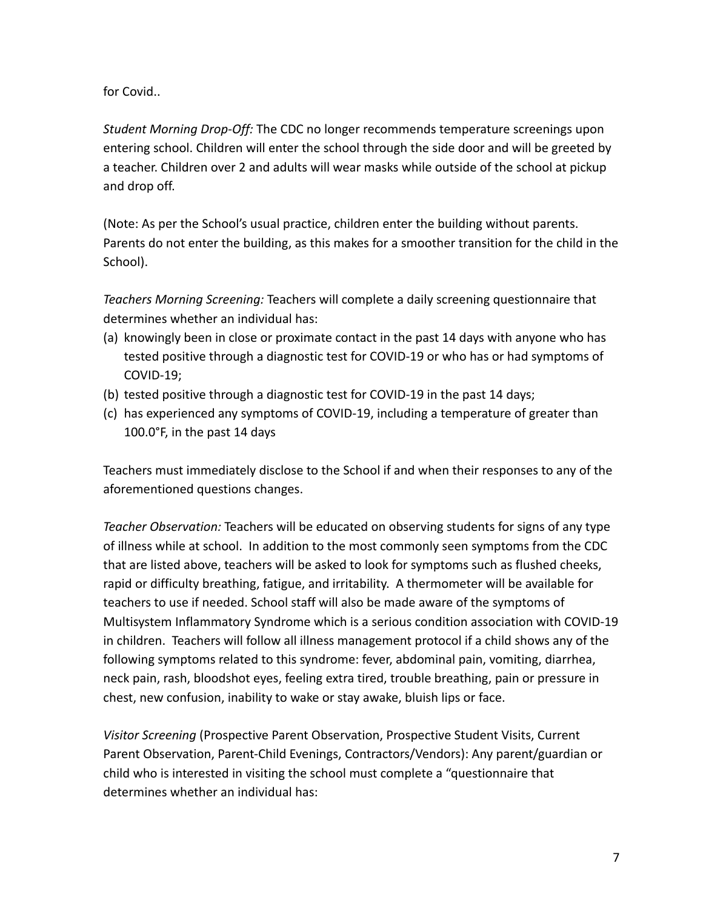for Covid..

*Student Morning Drop-Off:* The CDC no longer recommends temperature screenings upon entering school. Children will enter the school through the side door and will be greeted by a teacher. Children over 2 and adults will wear masks while outside of the school at pickup and drop off.

(Note: As per the School's usual practice, children enter the building without parents. Parents do not enter the building, as this makes for a smoother transition for the child in the School).

*Teachers Morning Screening:* Teachers will complete a daily screening questionnaire that determines whether an individual has:

- (a) knowingly been in close or proximate contact in the past 14 days with anyone who has tested positive through a diagnostic test for COVID-19 or who has or had symptoms of COVID-19;
- (b) tested positive through a diagnostic test for COVID-19 in the past 14 days;
- (c) has experienced any symptoms of COVID-19, including a temperature of greater than 100.0°F, in the past 14 days

Teachers must immediately disclose to the School if and when their responses to any of the aforementioned questions changes.

*Teacher Observation:* Teachers will be educated on observing students for signs of any type of illness while at school. In addition to the most commonly seen symptoms from the CDC that are listed above, teachers will be asked to look for symptoms such as flushed cheeks, rapid or difficulty breathing, fatigue, and irritability. A thermometer will be available for teachers to use if needed. School staff will also be made aware of the symptoms of Multisystem Inflammatory Syndrome which is a serious condition association with COVID-19 in children. Teachers will follow all illness management protocol if a child shows any of the following symptoms related to this syndrome: fever, abdominal pain, vomiting, diarrhea, neck pain, rash, bloodshot eyes, feeling extra tired, trouble breathing, pain or pressure in chest, new confusion, inability to wake or stay awake, bluish lips or face.

*Visitor Screening* (Prospective Parent Observation, Prospective Student Visits, Current Parent Observation, Parent-Child Evenings, Contractors/Vendors): Any parent/guardian or child who is interested in visiting the school must complete a "questionnaire that determines whether an individual has: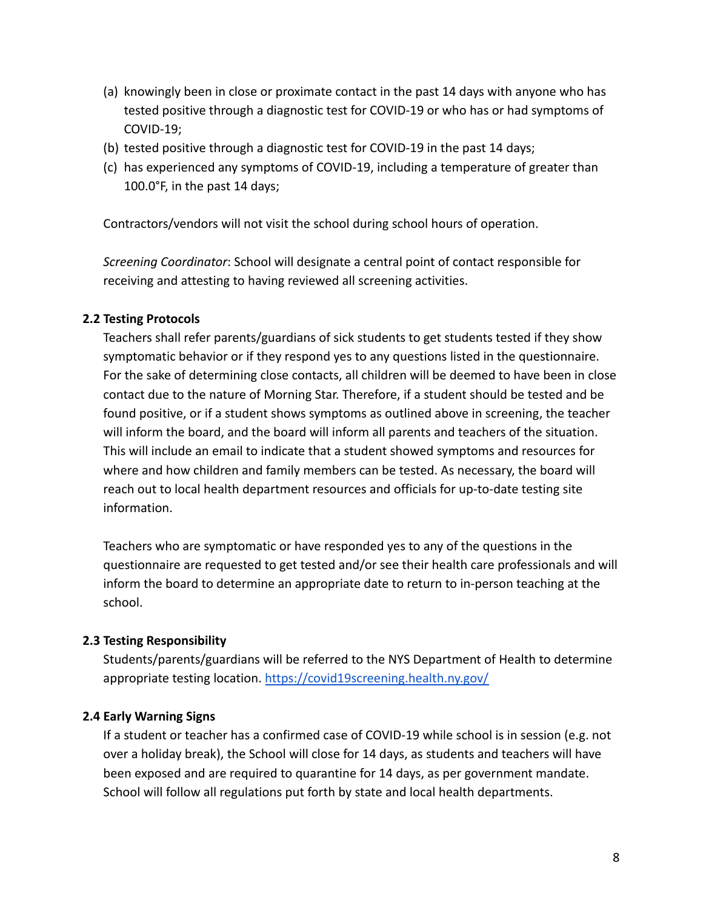- (a) knowingly been in close or proximate contact in the past 14 days with anyone who has tested positive through a diagnostic test for COVID-19 or who has or had symptoms of COVID-19;
- (b) tested positive through a diagnostic test for COVID-19 in the past 14 days;
- (c) has experienced any symptoms of COVID-19, including a temperature of greater than 100.0°F, in the past 14 days;

Contractors/vendors will not visit the school during school hours of operation.

*Screening Coordinator*: School will designate a central point of contact responsible for receiving and attesting to having reviewed all screening activities.

#### **2.2 Testing Protocols**

Teachers shall refer parents/guardians of sick students to get students tested if they show symptomatic behavior or if they respond yes to any questions listed in the questionnaire. For the sake of determining close contacts, all children will be deemed to have been in close contact due to the nature of Morning Star. Therefore, if a student should be tested and be found positive, or if a student shows symptoms as outlined above in screening, the teacher will inform the board, and the board will inform all parents and teachers of the situation. This will include an email to indicate that a student showed symptoms and resources for where and how children and family members can be tested. As necessary, the board will reach out to local health department resources and officials for up-to-date testing site information.

Teachers who are symptomatic or have responded yes to any of the questions in the questionnaire are requested to get tested and/or see their health care professionals and will inform the board to determine an appropriate date to return to in-person teaching at the school.

#### **2.3 Testing Responsibility**

Students/parents/guardians will be referred to the NYS Department of Health to determine appropriate testing location. <https://covid19screening.health.ny.gov/>

#### **2.4 Early Warning Signs**

If a student or teacher has a confirmed case of COVID-19 while school is in session (e.g. not over a holiday break), the School will close for 14 days, as students and teachers will have been exposed and are required to quarantine for 14 days, as per government mandate. School will follow all regulations put forth by state and local health departments.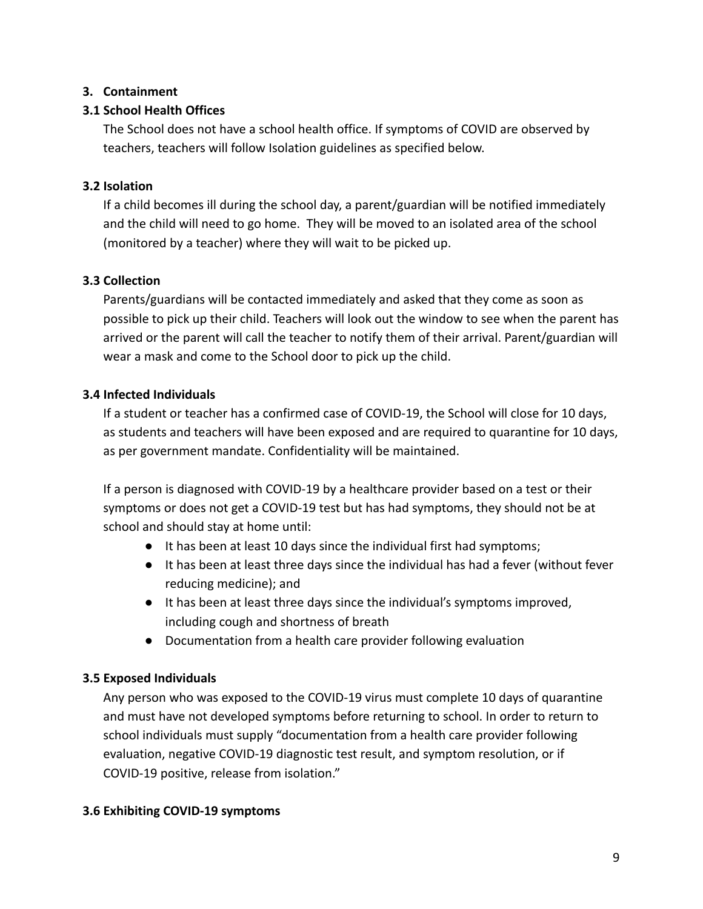# **3. Containment**

# **3.1 School Health Offices**

The School does not have a school health office. If symptoms of COVID are observed by teachers, teachers will follow Isolation guidelines as specified below.

# **3.2 Isolation**

If a child becomes ill during the school day, a parent/guardian will be notified immediately and the child will need to go home. They will be moved to an isolated area of the school (monitored by a teacher) where they will wait to be picked up.

# **3.3 Collection**

Parents/guardians will be contacted immediately and asked that they come as soon as possible to pick up their child. Teachers will look out the window to see when the parent has arrived or the parent will call the teacher to notify them of their arrival. Parent/guardian will wear a mask and come to the School door to pick up the child.

# **3.4 Infected Individuals**

If a student or teacher has a confirmed case of COVID-19, the School will close for 10 days, as students and teachers will have been exposed and are required to quarantine for 10 days, as per government mandate. Confidentiality will be maintained.

If a person is diagnosed with COVID-19 by a healthcare provider based on a test or their symptoms or does not get a COVID-19 test but has had symptoms, they should not be at school and should stay at home until:

- It has been at least 10 days since the individual first had symptoms;
- It has been at least three days since the individual has had a fever (without fever reducing medicine); and
- It has been at least three days since the individual's symptoms improved, including cough and shortness of breath
- Documentation from a health care provider following evaluation

# **3.5 Exposed Individuals**

Any person who was exposed to the COVID-19 virus must complete 10 days of quarantine and must have not developed symptoms before returning to school. In order to return to school individuals must supply "documentation from a health care provider following evaluation, negative COVID-19 diagnostic test result, and symptom resolution, or if COVID-19 positive, release from isolation."

# **3.6 Exhibiting COVID-19 symptoms**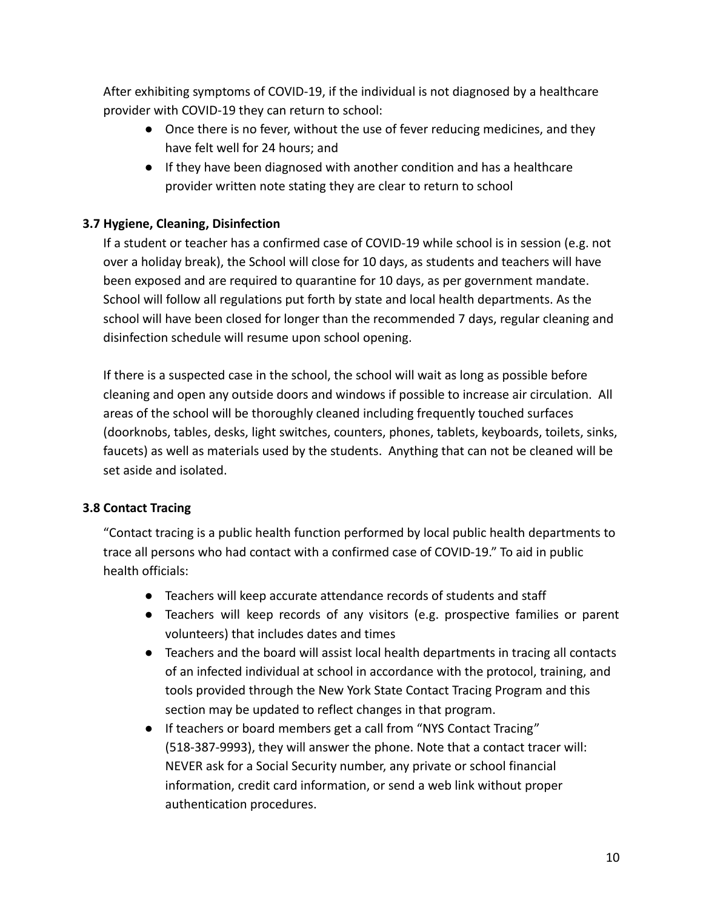After exhibiting symptoms of COVID-19, if the individual is not diagnosed by a healthcare provider with COVID-19 they can return to school:

- Once there is no fever, without the use of fever reducing medicines, and they have felt well for 24 hours; and
- If they have been diagnosed with another condition and has a healthcare provider written note stating they are clear to return to school

# **3.7 Hygiene, Cleaning, Disinfection**

If a student or teacher has a confirmed case of COVID-19 while school is in session (e.g. not over a holiday break), the School will close for 10 days, as students and teachers will have been exposed and are required to quarantine for 10 days, as per government mandate. School will follow all regulations put forth by state and local health departments. As the school will have been closed for longer than the recommended 7 days, regular cleaning and disinfection schedule will resume upon school opening.

If there is a suspected case in the school, the school will wait as long as possible before cleaning and open any outside doors and windows if possible to increase air circulation. All areas of the school will be thoroughly cleaned including frequently touched surfaces (doorknobs, tables, desks, light switches, counters, phones, tablets, keyboards, toilets, sinks, faucets) as well as materials used by the students. Anything that can not be cleaned will be set aside and isolated.

# **3.8 Contact Tracing**

"Contact tracing is a public health function performed by local public health departments to trace all persons who had contact with a confirmed case of COVID-19." To aid in public health officials:

- Teachers will keep accurate attendance records of students and staff
- Teachers will keep records of any visitors (e.g. prospective families or parent volunteers) that includes dates and times
- Teachers and the board will assist local health departments in tracing all contacts of an infected individual at school in accordance with the protocol, training, and tools provided through the New York State Contact Tracing Program and this section may be updated to reflect changes in that program.
- If teachers or board members get a call from "NYS Contact Tracing" (518-387-9993), they will answer the phone. Note that a contact tracer will: NEVER ask for a Social Security number, any private or school financial information, credit card information, or send a web link without proper authentication procedures.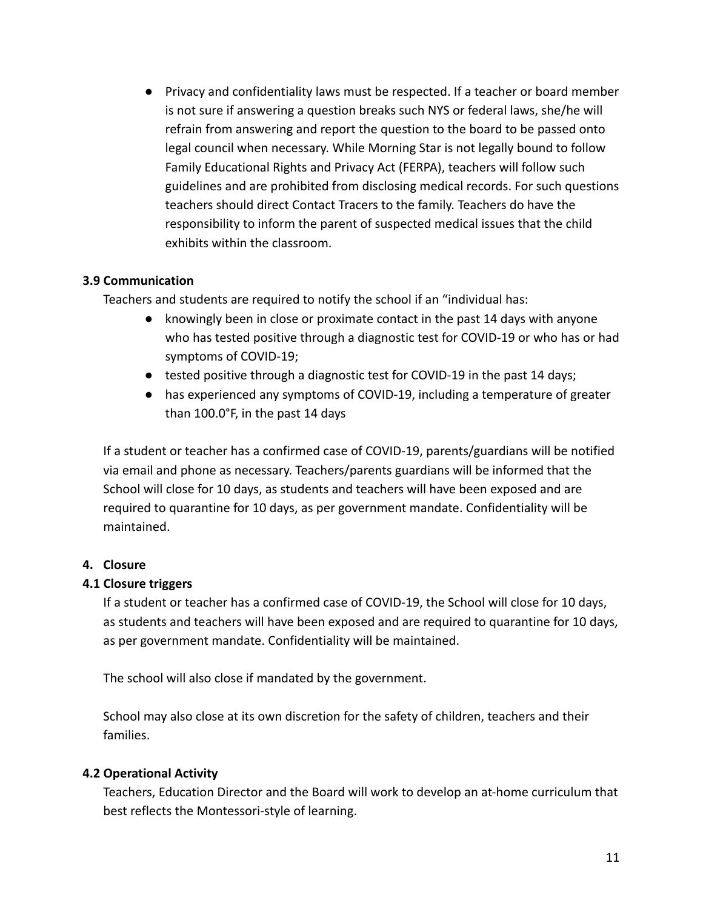● Privacy and confidentiality laws must be respected. If a teacher or board member is not sure if answering a question breaks such NYS or federal laws, she/he will refrain from answering and report the question to the board to be passed onto legal council when necessary. While Morning Star is not legally bound to follow Family Educational Rights and Privacy Act (FERPA), teachers will follow such guidelines and are prohibited from disclosing medical records. For such questions teachers should direct Contact Tracers to the family. Teachers do have the responsibility to inform the parent of suspected medical issues that the child exhibits within the classroom.

# **3.9 Communication**

Teachers and students are required to notify the school if an "individual has:

- knowingly been in close or proximate contact in the past 14 days with anyone who has tested positive through a diagnostic test for COVID-19 or who has or had symptoms of COVID-19;
- tested positive through a diagnostic test for COVID-19 in the past 14 days;
- has experienced any symptoms of COVID-19, including a temperature of greater than 100.0°F, in the past 14 days

If a student or teacher has a confirmed case of COVID-19, parents/guardians will be notified via email and phone as necessary. Teachers/parents guardians will be informed that the School will close for 10 days, as students and teachers will have been exposed and are required to quarantine for 10 days, as per government mandate. Confidentiality will be maintained.

# **4. Closure**

# **4.1 Closure triggers**

If a student or teacher has a confirmed case of COVID-19, the School will close for 10 days, as students and teachers will have been exposed and are required to quarantine for 10 days, as per government mandate. Confidentiality will be maintained.

The school will also close if mandated by the government.

School may also close at its own discretion for the safety of children, teachers and their families.

# **4.2 Operational Activity**

Teachers, Education Director and the Board will work to develop an at-home curriculum that best reflects the Montessori-style of learning.